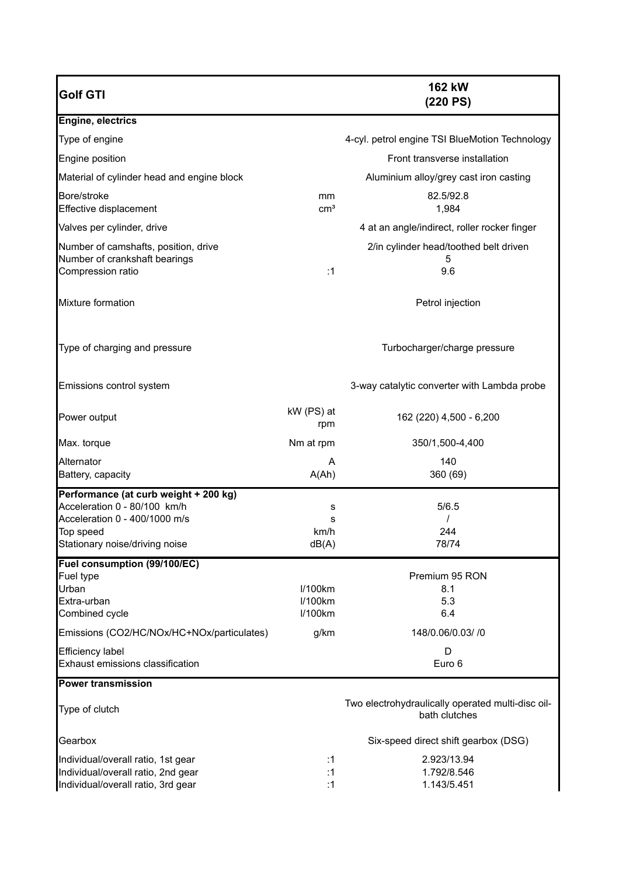| <b>Golf GTI</b>                                                                                                                                       |                               | 162 kW<br>(220 PS)                                                 |
|-------------------------------------------------------------------------------------------------------------------------------------------------------|-------------------------------|--------------------------------------------------------------------|
| Engine, electrics                                                                                                                                     |                               |                                                                    |
| Type of engine                                                                                                                                        |                               | 4-cyl. petrol engine TSI BlueMotion Technology                     |
| Engine position                                                                                                                                       |                               | Front transverse installation                                      |
| Material of cylinder head and engine block                                                                                                            |                               | Aluminium alloy/grey cast iron casting                             |
| Bore/stroke<br>Effective displacement                                                                                                                 | mm<br>$\text{cm}^3$           | 82.5/92.8<br>1,984                                                 |
| Valves per cylinder, drive                                                                                                                            |                               | 4 at an angle/indirect, roller rocker finger                       |
| Number of camshafts, position, drive<br>Number of crankshaft bearings<br>Compression ratio                                                            | :1                            | 2/in cylinder head/toothed belt driven<br>5<br>9.6                 |
| Mixture formation                                                                                                                                     |                               | Petrol injection                                                   |
| Type of charging and pressure                                                                                                                         |                               | Turbocharger/charge pressure                                       |
| Emissions control system                                                                                                                              |                               | 3-way catalytic converter with Lambda probe                        |
| Power output                                                                                                                                          | kW (PS) at<br>rpm             | 162 (220) 4,500 - 6,200                                            |
| Max. torque                                                                                                                                           | Nm at rpm                     | 350/1,500-4,400                                                    |
| Alternator<br>Battery, capacity                                                                                                                       | A<br>A(Ah)                    | 140<br>360 (69)                                                    |
| Performance (at curb weight + 200 kg)<br>Acceleration 0 - 80/100 km/h<br>Acceleration 0 - 400/1000 m/s<br>Top speed<br>Stationary noise/driving noise | s<br>s<br>km/h<br>dB(A)       | 5/6.5<br>244<br>78/74                                              |
| Fuel consumption (99/100/EC)                                                                                                                          |                               |                                                                    |
| Fuel type<br>Urban<br>Extra-urban<br>Combined cycle                                                                                                   | I/100km<br>I/100km<br>I/100km | Premium 95 RON<br>8.1<br>5.3<br>6.4                                |
| Emissions (CO2/HC/NOx/HC+NOx/particulates)                                                                                                            | g/km                          | 148/0.06/0.03/ /0                                                  |
| Efficiency label<br>Exhaust emissions classification                                                                                                  |                               | D<br>Euro 6                                                        |
| <b>Power transmission</b>                                                                                                                             |                               |                                                                    |
| Type of clutch                                                                                                                                        |                               | Two electrohydraulically operated multi-disc oil-<br>bath clutches |
| Gearbox                                                                                                                                               |                               | Six-speed direct shift gearbox (DSG)                               |
| Individual/overall ratio, 1st gear<br>Individual/overall ratio, 2nd gear<br>Individual/overall ratio, 3rd gear                                        | :1<br>:1<br>:1                | 2.923/13.94<br>1.792/8.546<br>1.143/5.451                          |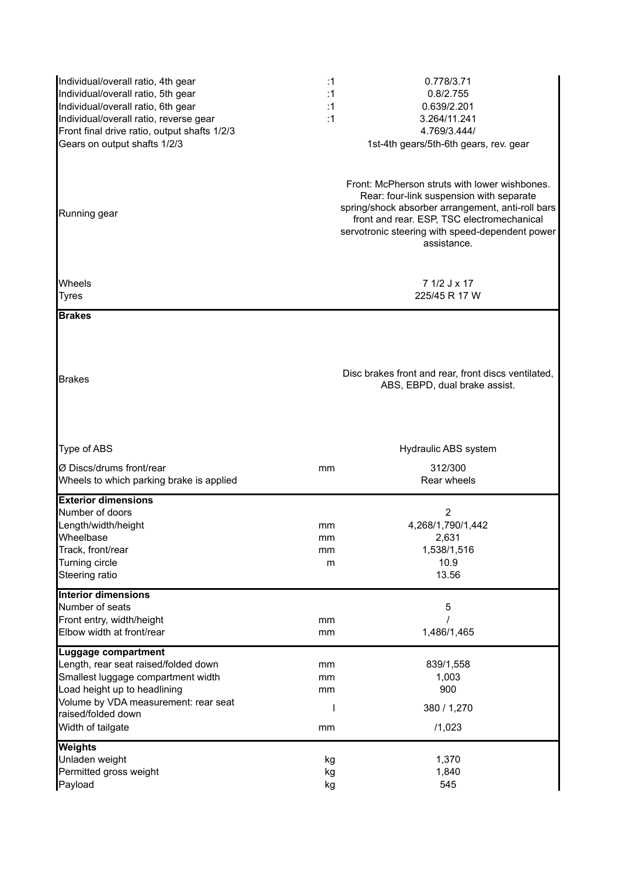| Individual/overall ratio, 4th gear<br>Individual/overall ratio, 5th gear<br>Individual/overall ratio, 6th gear<br>Individual/overall ratio, reverse gear<br>Front final drive ratio, output shafts 1/2/3<br>Gears on output shafts 1/2/3<br>Running gear | :1<br>:1<br>:1<br>:1 | 0.778/3.71<br>0.8/2.755<br>0.639/2.201<br>3.264/11.241<br>4.769/3.444/<br>1st-4th gears/5th-6th gears, rev. gear<br>Front: McPherson struts with lower wishbones.<br>Rear: four-link suspension with separate<br>spring/shock absorber arrangement, anti-roll bars<br>front and rear. ESP, TSC electromechanical<br>servotronic steering with speed-dependent power<br>assistance. |
|----------------------------------------------------------------------------------------------------------------------------------------------------------------------------------------------------------------------------------------------------------|----------------------|------------------------------------------------------------------------------------------------------------------------------------------------------------------------------------------------------------------------------------------------------------------------------------------------------------------------------------------------------------------------------------|
| Wheels<br><b>Tyres</b>                                                                                                                                                                                                                                   |                      | 7 1/2 J x 17<br>225/45 R 17 W                                                                                                                                                                                                                                                                                                                                                      |
| <b>Brakes</b><br><b>Brakes</b>                                                                                                                                                                                                                           |                      | Disc brakes front and rear, front discs ventilated,<br>ABS, EBPD, dual brake assist.                                                                                                                                                                                                                                                                                               |
| Type of ABS<br>Ø Discs/drums front/rear                                                                                                                                                                                                                  | mm                   | Hydraulic ABS system<br>312/300                                                                                                                                                                                                                                                                                                                                                    |
| Wheels to which parking brake is applied                                                                                                                                                                                                                 |                      | Rear wheels                                                                                                                                                                                                                                                                                                                                                                        |
| <b>Exterior dimensions</b><br>Number of doors<br>Length/width/height<br>Wheelbase<br>Track, front/rear<br>Turning circle<br>Steering ratio                                                                                                               | mm<br>mm<br>mm<br>m  | 2<br>4,268/1,790/1,442<br>2,631<br>1,538/1,516<br>10.9<br>13.56                                                                                                                                                                                                                                                                                                                    |
| <b>Interior dimensions</b><br>Number of seats<br>Front entry, width/height<br>Elbow width at front/rear                                                                                                                                                  | mm<br>mm             | 5<br>1,486/1,465                                                                                                                                                                                                                                                                                                                                                                   |
| <b>Luggage compartment</b><br>Length, rear seat raised/folded down<br>Smallest luggage compartment width<br>Load height up to headlining<br>Volume by VDA measurement: rear seat<br>raised/folded down<br>Width of tailgate                              | mm<br>mm<br>mm<br>mm | 839/1,558<br>1,003<br>900<br>380 / 1,270<br>/1,023                                                                                                                                                                                                                                                                                                                                 |
| <b>Weights</b><br>Unladen weight<br>Permitted gross weight<br>Payload                                                                                                                                                                                    | kg<br>kg<br>kg       | 1,370<br>1,840<br>545                                                                                                                                                                                                                                                                                                                                                              |